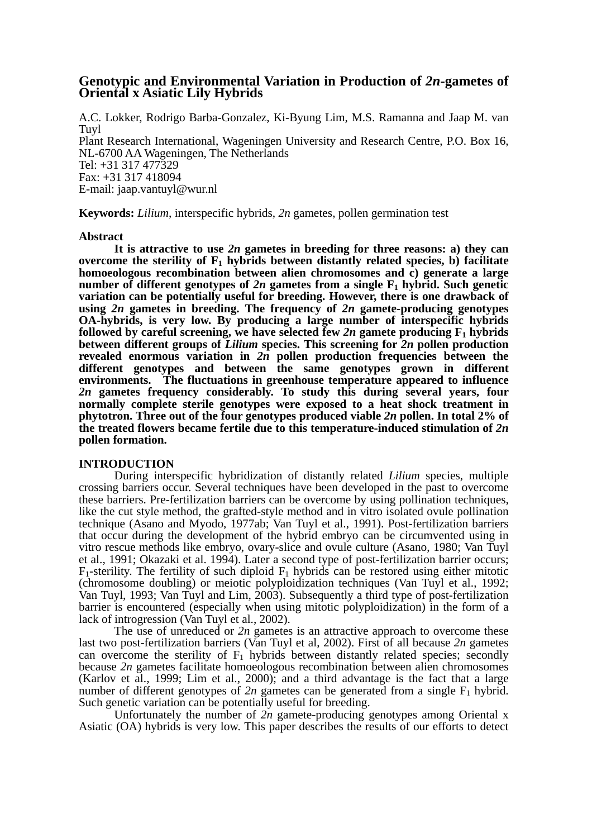# **Genotypic and Environmental Variation in Production of** *2n***-gametes of Oriental x Asiatic Lily Hybrids**

A.C. Lokker, Rodrigo Barba-Gonzalez, Ki-Byung Lim, M.S. Ramanna and Jaap M. van Tuyl Plant Research International, Wageningen University and Research Centre, P.O. Box 16, NL-6700 AA Wageningen, The Netherlands Tel: +31 317 477329 Fax: +31 317 418094 E-mail: jaap.vantuyl@wur.nl

**Keywords:** *Lilium*, interspecific hybrids, *2n* gametes, pollen germination test

## **Abstract**

 **It is attractive to use** *2n* **gametes in breeding for three reasons: a) they can**  overcome the sterility of  $F_1$  hybrids between distantly related species, b) facilitate **homoeologous recombination between alien chromosomes and c) generate a large number of different genotypes of 2n gametes from a single**  $F_1$  **hybrid. Such genetic variation can be potentially useful for breeding. However, there is one drawback of using** *2n* **gametes in breeding. The frequency of** *2n* **gamete-producing genotypes OA-hybrids, is very low. By producing a large number of interspecific hybrids followed by careful screening, we have selected few 2n gamete producing**  $F_1$  **hybrids between different groups of** *Lilium* **species. This screening for** *2n* **pollen production revealed enormous variation in** *2n* **pollen production frequencies between the**  different genotypes and between the same genotypes grown in different **environments. The fluctuations in greenhouse temperature appeared to influence**  *2n* **gametes frequency considerably. To study this during several years, four normally complete sterile genotypes were exposed to a heat shock treatment in phytotron. Three out of the four genotypes produced viable** *2n* **pollen. In total 2% of the treated flowers became fertile due to this temperature-induced stimulation of** *2n*  **pollen formation.** 

# **INTRODUCTION**

 During interspecific hybridization of distantly related *Lilium* species, multiple crossing barriers occur. Several techniques have been developed in the past to overcome these barriers. Pre-fertilization barriers can be overcome by using pollination techniques, like the cut style method, the grafted-style method and in vitro isolated ovule pollination technique (Asano and Myodo, 1977ab; Van Tuyl et al., 1991). Post-fertilization barriers that occur during the development of the hybrid embryo can be circumvented using in vitro rescue methods like embryo, ovary-slice and ovule culture (Asano, 1980; Van Tuyl et al., 1991; Okazaki et al. 1994). Later a second type of post-fertilization barrier occurs;  $F_1$ -sterility. The fertility of such diploid  $F_1$  hybrids can be restored using either mitotic (chromosome doubling) or meiotic polyploidization techniques (Van Tuyl et al., 1992; Van Tuyl, 1993; Van Tuyl and Lim, 2003). Subsequently a third type of post-fertilization barrier is encountered (especially when using mitotic polyploidization) in the form of a lack of introgression (Van Tuyl et al., 2002).

 The use of unreduced or *2n* gametes is an attractive approach to overcome these last two post-fertilization barriers (Van Tuyl et al, 2002). First of all because *2n* gametes can overcome the sterility of  $F_1$  hybrids between distantly related species; secondly because *2n* gametes facilitate homoeologous recombination between alien chromosomes (Karlov et al., 1999; Lim et al., 2000); and a third advantage is the fact that a large number of different genotypes of  $2n$  gametes can be generated from a single  $F_1$  hybrid. Such genetic variation can be potentially useful for breeding.

 Unfortunately the number of *2n* gamete-producing genotypes among Oriental x Asiatic (OA) hybrids is very low. This paper describes the results of our efforts to detect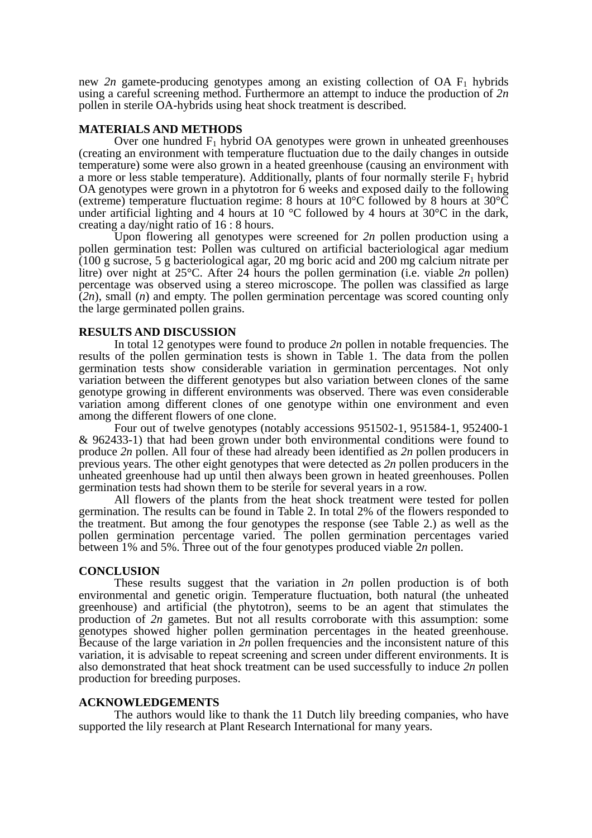new 2n gamete-producing genotypes among an existing collection of  $OA F<sub>1</sub>$  hybrids using a careful screening method. Furthermore an attempt to induce the production of *2n* pollen in sterile OA-hybrids using heat shock treatment is described.

## **MATERIALS AND METHODS**

Over one hundred  $F_1$  hybrid OA genotypes were grown in unheated greenhouses (creating an environment with temperature fluctuation due to the daily changes in outside temperature) some were also grown in a heated greenhouse (causing an environment with a more or less stable temperature). Additionally, plants of four normally sterile  $F_1$  hybrid OA genotypes were grown in a phytotron for 6 weeks and exposed daily to the following (extreme) temperature fluctuation regime: 8 hours at 10°C followed by 8 hours at 30°C under artificial lighting and 4 hours at 10 °C followed by 4 hours at  $30^{\circ}$ C in the dark, creating a day/night ratio of 16 : 8 hours.

 Upon flowering all genotypes were screened for *2n* pollen production using a pollen germination test: Pollen was cultured on artificial bacteriological agar medium (100 g sucrose, 5 g bacteriological agar, 20 mg boric acid and 200 mg calcium nitrate per litre) over night at 25°C. After 24 hours the pollen germination (i.e. viable *2n* pollen) percentage was observed using a stereo microscope. The pollen was classified as large (*2n*), small (*n*) and empty. The pollen germination percentage was scored counting only the large germinated pollen grains.

#### **RESULTS AND DISCUSSION**

 In total 12 genotypes were found to produce *2n* pollen in notable frequencies. The results of the pollen germination tests is shown in Table 1. The data from the pollen germination tests show considerable variation in germination percentages. Not only variation between the different genotypes but also variation between clones of the same genotype growing in different environments was observed. There was even considerable variation among different clones of one genotype within one environment and even among the different flowers of one clone.

 Four out of twelve genotypes (notably accessions 951502-1, 951584-1, 952400-1 & 962433-1) that had been grown under both environmental conditions were found to produce *2n* pollen. All four of these had already been identified as *2n* pollen producers in previous years. The other eight genotypes that were detected as *2n* pollen producers in the unheated greenhouse had up until then always been grown in heated greenhouses. Pollen germination tests had shown them to be sterile for several years in a row.

 All flowers of the plants from the heat shock treatment were tested for pollen germination. The results can be found in Table 2. In total 2% of the flowers responded to the treatment. But among the four genotypes the response (see Table 2.) as well as the pollen germination percentage varied. The pollen germination percentages varied between 1% and 5%. Three out of the four genotypes produced viable 2*n* pollen.

#### **CONCLUSION**

 These results suggest that the variation in *2n* pollen production is of both environmental and genetic origin. Temperature fluctuation, both natural (the unheated greenhouse) and artificial (the phytotron), seems to be an agent that stimulates the production of *2n* gametes. But not all results corroborate with this assumption: some genotypes showed higher pollen germination percentages in the heated greenhouse. Because of the large variation in *2n* pollen frequencies and the inconsistent nature of this variation, it is advisable to repeat screening and screen under different environments. It is also demonstrated that heat shock treatment can be used successfully to induce *2n* pollen production for breeding purposes.

# **ACKNOWLEDGEMENTS**

 The authors would like to thank the 11 Dutch lily breeding companies, who have supported the lily research at Plant Research International for many years.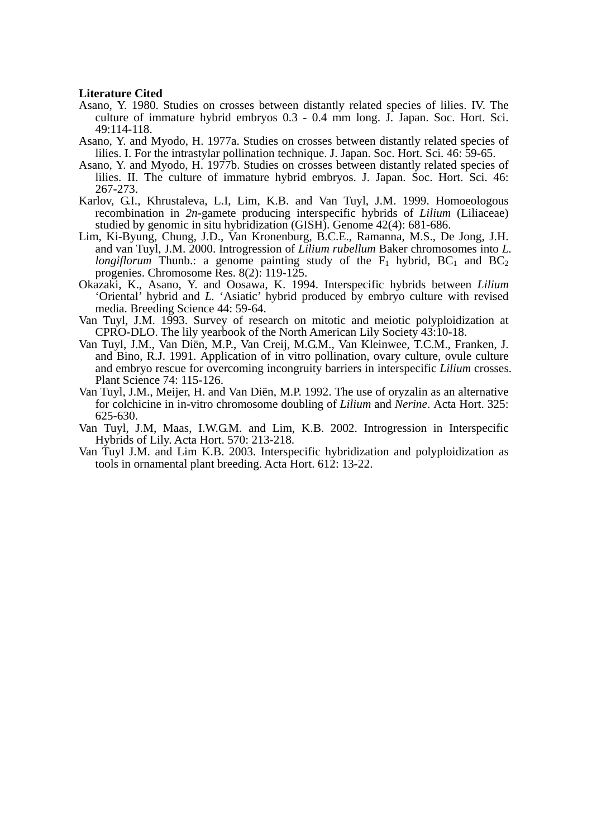#### **Literature Cited**

- Asano, Y. 1980. Studies on crosses between distantly related species of lilies. IV. The culture of immature hybrid embryos 0.3 - 0.4 mm long. J. Japan. Soc. Hort. Sci. 49:114-118.
- Asano, Y. and Myodo, H. 1977a. Studies on crosses between distantly related species of lilies. I. For the intrastylar pollination technique. J. Japan. Soc. Hort. Sci. 46: 59-65.
- Asano, Y. and Myodo, H. 1977b. Studies on crosses between distantly related species of lilies. II. The culture of immature hybrid embryos. J. Japan. Soc. Hort. Sci. 46: 267-273.
- Karlov, G.I., Khrustaleva, L.I, Lim, K.B. and Van Tuyl, J.M. 1999. Homoeologous recombination in *2n*-gamete producing interspecific hybrids of *Lilium* (Liliaceae) studied by genomic in situ hybridization (GISH). Genome 42(4): 681-686.
- Lim, Ki-Byung, Chung, J.D., Van Kronenburg, B.C.E., Ramanna, M.S., De Jong, J.H. and van Tuyl, J.M. 2000. Introgression of *Lilium rubellum* Baker chromosomes into *L. longiflorum* Thunb.: a genome painting study of the  $F_1$  hybrid,  $BC_1$  and  $BC_2$ progenies. Chromosome Res. 8(2): 119-125.
- Okazaki, K., Asano, Y. and Oosawa, K. 1994. Interspecific hybrids between *Lilium*  'Oriental' hybrid and *L.* 'Asiatic' hybrid produced by embryo culture with revised media. Breeding Science 44: 59-64.
- Van Tuyl, J.M. 1993. Survey of research on mitotic and meiotic polyploidization at CPRO-DLO. The lily yearbook of the North American Lily Society 43:10-18.
- Van Tuyl, J.M., Van Diën, M.P., Van Creij, M.G.M., Van Kleinwee, T.C.M., Franken, J. and Bino, R.J. 1991. Application of in vitro pollination, ovary culture, ovule culture and embryo rescue for overcoming incongruity barriers in interspecific *Lilium* crosses. Plant Science 74: 115-126.
- Van Tuyl, J.M., Meijer, H. and Van Diën, M.P. 1992. The use of oryzalin as an alternative for colchicine in in-vitro chromosome doubling of *Lilium* and *Nerine*. Acta Hort. 325: 625-630.
- Van Tuyl, J.M, Maas, I.W.G.M. and Lim, K.B. 2002. Introgression in Interspecific Hybrids of Lily. Acta Hort. 570: 213-218.
- Van Tuyl J.M. and Lim K.B. 2003. Interspecific hybridization and polyploidization as tools in ornamental plant breeding. Acta Hort. 612: 13-22.